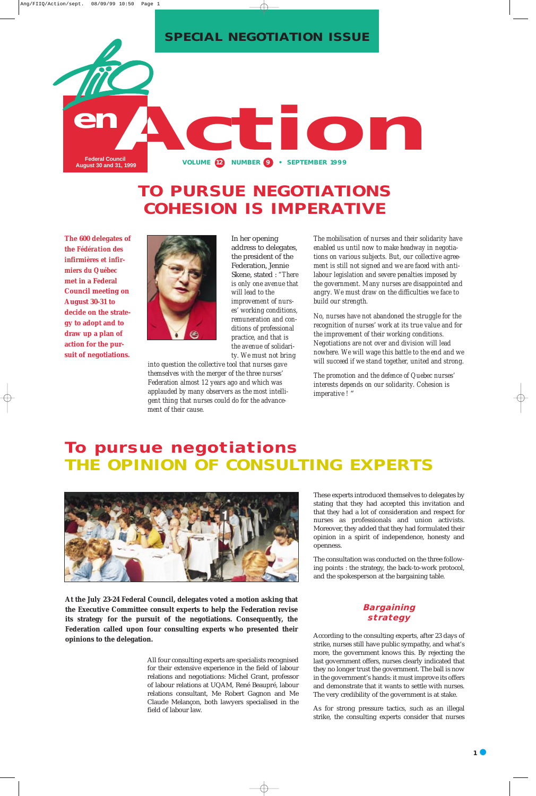In her opening address to delegates, the president of the Federation, Jennie Skene, stated : *"There is only one avenue that will lead to the improvement of nurses' working conditions, remuneration and conditions of professional practice, and that is the avenue of solidarity. We must not bring*

*into question the collective tool that nurses gave themselves with the merger of the three nurses' Federation almost 12 years ago and which was applauded by many observers as the most intelligent thing that nurses could do for the advancement of their cause.*

*The mobilisation of nurses and their solidarity have enabled us until now to make headway in negotiations on various subjects. But, our collective agreement is still not signed and we are faced with antilabour legislation and severe penalties imposed by the government. Many nurses are disappointed and angry. We must draw on the difficulties we face to build our strength.* 

*No, nurses have not abandoned the struggle for the recognition of nurses' work at its true value and for the improvement of their working conditions. Negotiations are not over and division will lead nowhere. We will wage this battle to the end and we will succeed if we stand together, united and strong.*

*The promotion and the defence of Quebec nurses' interests depends on our solidarity. Cohesion is imperative !* "

All four consulting experts are specialists recognised for their extensive experience in the field of labour relations and negotiations: Michel Grant, professor of labour relations at UQAM, René Beaupré, labour relations consultant, Me Robert Gagnon and Me Claude Melançon, both lawyers specialised in the field of labour law.



These experts introduced themselves to delegates by stating that they had accepted this invitation and that they had a lot of consideration and respect for nurses as professionals and union activists. Moreover, they added that they had formulated their opinion in a spirit of independence, honesty and openness.

The consultation was conducted on the three following points : the strategy, the back-to-work protocol, and the spokesperson at the bargaining table.



#### **Bargaining strategy**

According to the consulting experts, after 23 days of strike, nurses still have public sympathy, and what's more, the government knows this. By rejecting the last government offers, nurses clearly indicated that they no longer trust the government. The ball is now in the government's hands: it must improve its offers and demonstrate that it wants to settle with nurses. The very credibility of the government is at stake.

As for strong pressure tactics, such as an illegal strike, the consulting experts consider that nurses

# **TO PURSUE NEGOTIATIONS COHESION IS IMPERATIVE**

**The 600 delegates of the** *Fédération des infirmières et infirmiers du Québec* **met in a Federal Council meeting on August 30-31 to decide on the strategy to adopt and to draw up a plan of action for the pursuit of negotiations.**



# **To pursue negotiations THE OPINION OF CONSULTING EXPERTS**



**At the July 23-24 Federal Council, delegates voted a motion asking that the Executive Committee consult experts to help the Federation revise its strategy for the pursuit of the negotiations. Consequently, the Federation called upon four consulting experts who presented their opinions to the delegation.**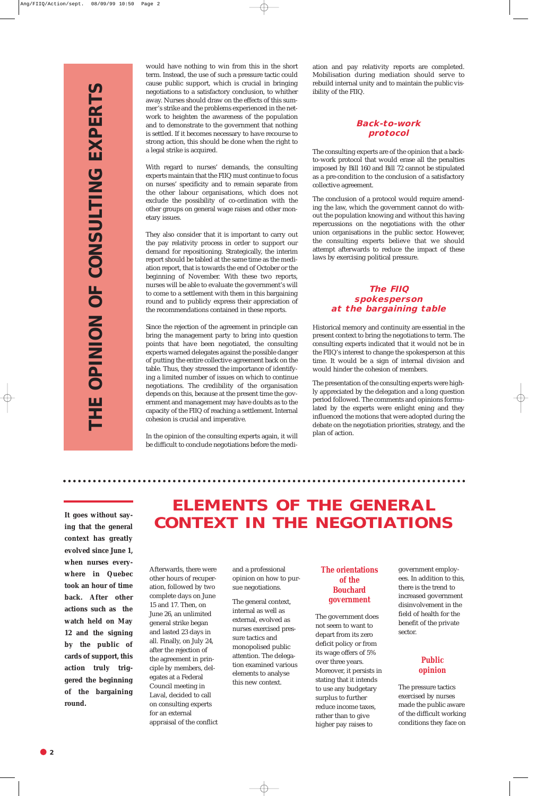Afterwards, there were other hours of recuperation, followed by two complete days on June 15 and 17. Then, on June 26, an unlimited general strike began and lasted 23 days in all. Finally, on July 24, after the rejection of the agreement in principle by members, delegates at a Federal Council meeting in Laval, decided to call on consulting experts for an external appraisal of the conflict and a professional opinion on how to pursue negotiations.

The general context, internal as well as external, evolved as nurses exercised pressure tactics and monopolised public attention. The delegation examined various elements to analyse this new context.

**The orientations** 

. . . . . . . . . . . . . . . . . . .

#### **of the Bouchard government**

The government does not seem to want to depart from its zero deficit policy or from its wage offers of 5% over three years. Moreover, it persists in stating that it intends to use any budgetary surplus to further reduce income taxes, rather than to give higher pay raises to

government employ-

ees. In addition to this, there is the trend to increased government disinvolvement in the field of health for the benefit of the private sector.

#### **Public opinion**

The pressure tactics exercised by nurses made the public aware of the difficult working conditions they face on

would have nothing to win from this in the short term. Instead, the use of such a pressure tactic could cause public support, which is crucial in bringing negotiations to a satisfactory conclusion, to whither away. Nurses should draw on the effects of this summer's strike and the problems experienced in the network to heighten the awareness of the population and to demonstrate to the government that nothing is settled. If it becomes necessary to have recourse to strong action, this should be done when the right to a legal strike is acquired.

With regard to nurses' demands, the consulting experts maintain that the FIIQ must continue to focus on nurses' specificity and to remain separate from the other labour organisations, which does not exclude the possibility of co-ordination with the other groups on general wage raises and other monetary issues.

They also consider that it is important to carry out the pay relativity process in order to support our demand for repositioning. Strategically, the interim report should be tabled at the same time as the mediation report, that is towards the end of October or the beginning of November. With these two reports, nurses will be able to evaluate the government's will to come to a settlement with them in this bargaining round and to publicly express their appreciation of the recommendations contained in these reports.

# **ELEMENTS OF THE GENERAL** It goes without say-<br>ing that the general **CONTEXT IN THE NEGOTIATIONS**

Since the rejection of the agreement in principle can bring the management party to bring into question points that have been negotiated, the consulting experts warned delegates against the possible danger of putting the entire collective agreement back on the table. Thus, they stressed the importance of identifying a limited number of issues on which to continue negotiations. The credibility of the organisation depends on this, because at the present time the government and management may have doubts as to the capacity of the FIIQ of reaching a settlement. Internal cohesion is crucial and imperative.

In the opinion of the consulting experts again, it will be difficult to conclude negotiations before the medi-

ation and pay relativity reports are completed. Mobilisation during mediation should serve to rebuild internal unity and to maintain the public visibility of the FIIQ.

#### **Back-to-work protocol**

The consulting experts are of the opinion that a backto-work protocol that would erase all the penalties imposed by Bill 160 and Bill 72 cannot be stipulated as a pre-condition to the conclusion of a satisfactory collective agreement.

The conclusion of a protocol would require amending the law, which the government cannot do without the population knowing and without this having repercussions on the negotiations with the other union organisations in the public sector. However, the consulting experts believe that we should attempt afterwards to reduce the impact of these laws by exercising political pressure.

#### **The FIIQ spokesperson at the bargaining table**

Historical memory and continuity are essential in the present context to bring the negotiations to term. The consulting experts indicated that it would not be in the FIIQ's interest to change the spokesperson at this time. It would be a sign of internal division and would hinder the cohesion of members.

The presentation of the consulting experts were highly appreciated by the delegation and a long question period followed. The comments and opinions formulated by the experts were enlight ening and they influenced the motions that were adopted during the debate on the negotiation priorities, strategy, and the plan of action.

**ing that the general context has greatly evolved since June 1, when nurses everywhere in Quebec**

**took an hour of time back. After other actions such as the watch held on May 12 and the signing by the public of cards of support, this action truly triggered the beginning of the bargaining round.**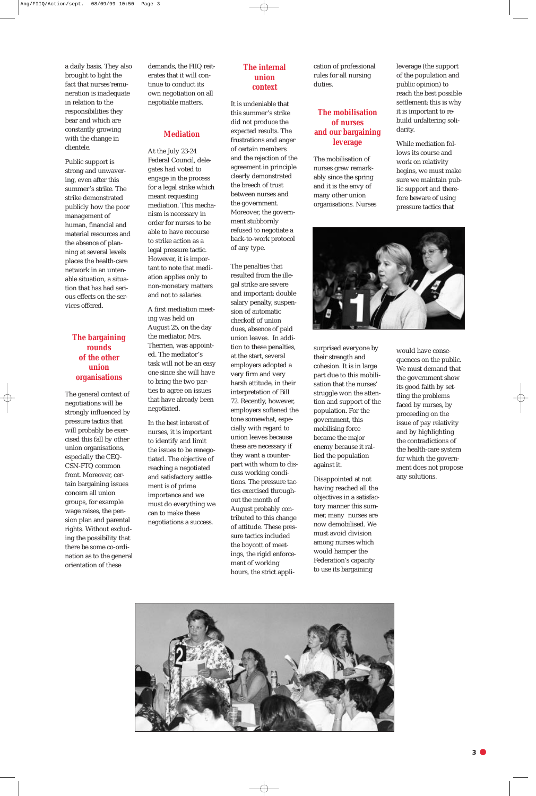

a daily basis. They also brought to light the fact that nurses'remuneration is inadequate in relation to the responsibilities they bear and which are constantly growing with the change in clientele.

Public support is strong and unwavering, even after this summer's strike. The strike demonstrated publicly how the poor management of human, financial and material resources and the absence of planning at several levels places the health-care network in an untenable situation, a situation that has had serious effects on the services offered.

#### **The bargaining rounds of the other union organisations**

The general context of negotiations will be strongly influenced by pressure tactics that will probably be exercised this fall by other union organisations, especially the CEQ-CSN-FTQ common front. Moreover, certain bargaining issues concern all union groups, for example wage raises, the pension plan and parental rights. Without excluding the possibility that there be some co-ordination as to the general orientation of these

demands, the FIIQ reiterates that it will continue to conduct its own negotiation on all negotiable matters.

#### **Mediation**

At the July 23-24 Federal Council, delegates had voted to engage in the process for a legal strike which meant requesting mediation. This mechanism is necessary in order for nurses to be able to have recourse to strike action as a legal pressure tactic. However, it is important to note that mediation applies only to non-monetary matters and not to salaries.

A first mediation meeting was held on August 25, on the day the mediator, Mrs. Therrien, was appointed. The mediator's task will not be an easy one since she will have to bring the two parties to agree on issues that have already been negotiated.

In the best interest of nurses, it is important to identify and limit the issues to be renegotiated. The objective of reaching a negotiated and satisfactory settlement is of prime importance and we must do everything we can to make these negotiations a success.

#### **The internal union context**

It is undeniable that this summer's strike did not produce the expected results. The frustrations and anger of certain members and the rejection of the agreement in principle clearly demonstrated the breech of trust between nurses and the government. Moreover, the government stubbornly refused to negotiate a back-to-work protocol of any type.

The penalties that

resulted from the illegal strike are severe and important: double salary penalty, suspension of automatic checkoff of union dues, absence of paid union leaves. In addition to these penalties, at the start, several employers adopted a very firm and very harsh attitude, in their interpretation of Bill 72. Recently, however, employers softened the tone somewhat, especially with regard to union leaves because these are necessary if they want a counterpart with whom to discuss working conditions. The pressure tactics exercised throughout the month of August probably contributed to this change of attitude. These pressure tactics included the boycott of meetings, the rigid enforcement of working hours, the strict application of professional rules for all nursing duties.

#### **The mobilisation of nurses and our bargaining leverage**

The mobilisation of nurses grew remarkably since the spring and it is the envy of many other union organisations. Nurses

surprised everyone by their strength and cohesion. It is in large part due to this mobilisation that the nurses' struggle won the attention and support of the population. For the government, this mobilising force became the major enemy because it rallied the population against it.

Disappointed at not having reached all the objectives in a satisfactory manner this summer, many nurses are now demobilised. We must avoid division among nurses which would hamper the Federation's capacity to use its bargaining

leverage (the support of the population and public opinion) to reach the best possible settlement: this is why it is important to rebuild unfaltering solidarity.

While mediation follows its course and work on relativity begins, we must make sure we maintain public support and therefore beware of using pressure tactics that



would have consequences on the public. We must demand that the government show its good faith by settling the problems faced by nurses, by proceeding on the issue of pay relativity and by highlighting the contradictions of the health-care system for which the government does not propose any solutions.

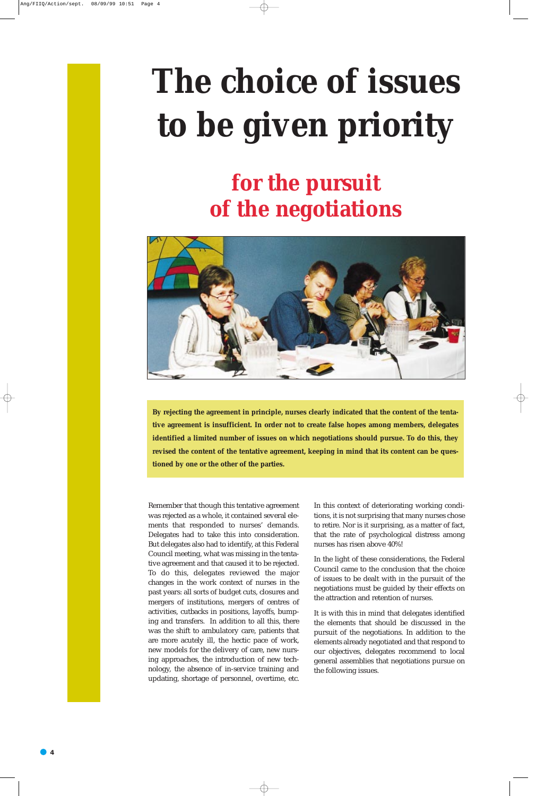# **The choice of issues to be given priority**

**By rejecting the agreement in principle, nurses clearly indicated that the content of the tentative agreement is insufficient. In order not to create false hopes among members, delegates identified a limited number of issues on which negotiations should pursue. To do this, they revised the content of the tentative agreement, keeping in mind that its content can be questioned by one or the other of the parties.** 

Remember that though this tentative agreement was rejected as a whole, it contained several elements that responded to nurses' demands. Delegates had to take this into consideration. But delegates also had to identify, at this Federal Council meeting, what was missing in the tentative agreement and that caused it to be rejected. To do this, delegates reviewed the major changes in the work context of nurses in the past years: all sorts of budget cuts, closures and mergers of institutions, mergers of centres of activities, cutbacks in positions, layoffs, bumping and transfers. In addition to all this, there was the shift to ambulatory care, patients that are more acutely ill, the hectic pace of work, new models for the delivery of care, new nursing approaches, the introduction of new technology, the absence of in-service training and updating, shortage of personnel, overtime, etc.

In this context of deteriorating working conditions, it is not surprising that many nurses chose to retire. Nor is it surprising, as a matter of fact, that the rate of psychological distress among nurses has risen above 40%!

In the light of these considerations, the Federal Council came to the conclusion that the choice of issues to be dealt with in the pursuit of the negotiations must be guided by their effects on the attraction and retention of nurses.

It is with this in mind that delegates identified the elements that should be discussed in the pursuit of the negotiations. In addition to the elements already negotiated and that respond to our objectives, delegates recommend to local general assemblies that negotiations pursue on the following issues.

# **for the pursuit of the negotiations**

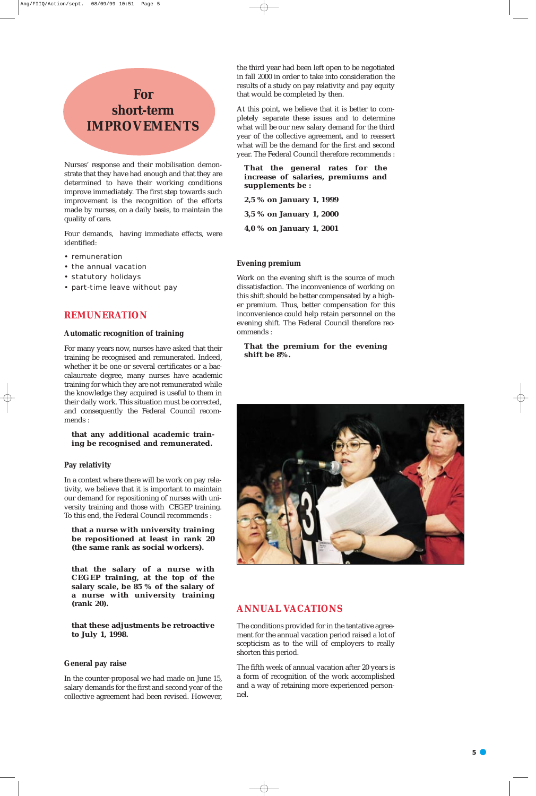## **For short-term IMPROVEMENTS**

Nurses' response and their mobilisation demonstrate that they have had enough and that they are determined to have their working conditions improve immediately. The first step towards such improvement is the recognition of the efforts made by nurses, on a daily basis, to maintain the quality of care.

Four demands, having immediate effects, were identified:

- remuneration
- the annual vacation
- statutory holidays
- part-time leave without pay

#### **REMUNERATION**

#### **Automatic recognition of training**

For many years now, nurses have asked that their training be recognised and remunerated. Indeed, whether it be one or several certificates or a baccalaureate degree, many nurses have academic training for which they are not remunerated while the knowledge they acquired is useful to them in their daily work. This situation must be corrected, and consequently the Federal Council recommends :

#### **that any additional academic training be recognised and remunerated.**

#### **Pay relativity**

In a context where there will be work on pay relativity, we believe that it is important to maintain our demand for repositioning of nurses with university training and those with CEGEP training. To this end, the Federal Council recommends :

**that a nurse with university training be repositioned at least in rank 20 (the same rank as social workers).**

**that the salary of a nurse with CEGEP training, at the top of the salary scale, be 85 % of the salary of a nurse with university training (rank 20).**

**that these adjustments be retroactive to July 1, 1998.**

#### **General pay raise**

In the counter-proposal we had made on June 15, salary demands for the first and second year of the collective agreement had been revised. However, the third year had been left open to be negotiated in fall 2000 in order to take into consideration the results of a study on pay relativity and pay equity that would be completed by then.

At this point, we believe that it is better to completely separate these issues and to determine what will be our new salary demand for the third year of the collective agreement, and to reassert what will be the demand for the first and second year. The Federal Council therefore recommends :

#### **That the general rates for the increase of salaries, premiums and supplements be :**

**2,5 % on January 1, 1999 3,5 % on January 1, 2000 4,0 % on January 1, 2001**

#### **Evening premium**

Work on the evening shift is the source of much dissatisfaction. The inconvenience of working on this shift should be better compensated by a higher premium. Thus, better compensation for this inconvenience could help retain personnel on the evening shift. The Federal Council therefore recommends :

#### **That the premium for the evening shift be 8%.**



#### **ANNUAL VACATIONS**

The conditions provided for in the tentative agreement for the annual vacation period raised a lot of scepticism as to the will of employers to really shorten this period.

The fifth week of annual vacation after 20 years is a form of recognition of the work accomplished and a way of retaining more experienced personnel.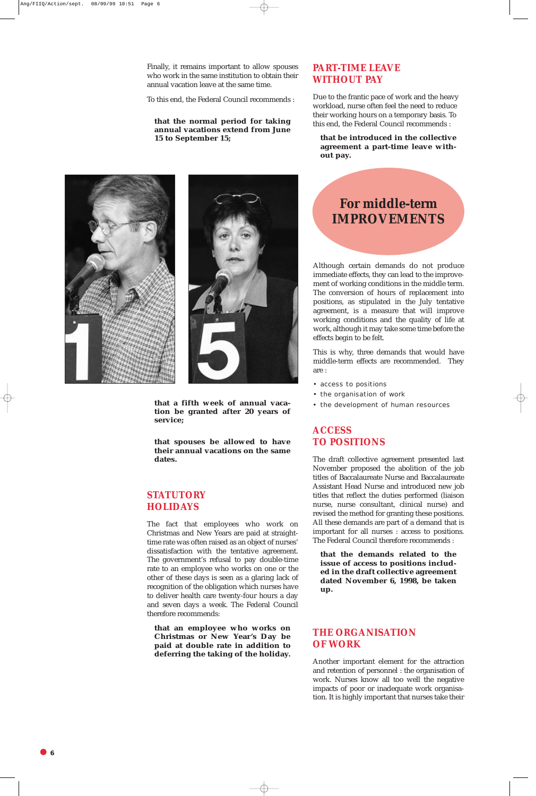Finally, it remains important to allow spouses who work in the same institution to obtain their annual vacation leave at the same time.

To this end, the Federal Council recommends :

**that the normal period for taking annual vacations extend from June 15 to September 15;**

**that a fifth week of annual vacation be granted after 20 years of service;**

**that spouses be allowed to have their annual vacations on the same dates.**

#### **STATUTORY HOLIDAYS**

The fact that employees who work on Christmas and New Years are paid at straighttime rate was often raised as an object of nurses' dissatisfaction with the tentative agreement. The government's refusal to pay double-time rate to an employee who works on one or the other of these days is seen as a glaring lack of recognition of the obligation which nurses have to deliver health care twenty-four hours a day and seven days a week. The Federal Council therefore recommends:

**that an employee who works on Christmas or New Year's Day be paid at double rate in addition to deferring the taking of the holiday.**

#### **PART-TIME LEAVE WITHOUT PAY**

Due to the frantic pace of work and the heavy workload, nurse often feel the need to reduce their working hours on a temporary basis. To this end, the Federal Council recommends :

**that be introduced in the collective agreement a part-time leave without pay.**





## **For middle-term IMPROVEMENTS**

Although certain demands do not produce immediate effects, they can lead to the improvement of working conditions in the middle term. The conversion of hours of replacement into positions, as stipulated in the July tentative agreement, is a measure that will improve working conditions and the quality of life at work, although it may take some time before the effects begin to be felt.

This is why, three demands that would have middle-term effects are recommended. They are :

- access to positions
- the organisation of work
- the development of human resources

#### **ACCESS TO POSITIONS**

The draft collective agreement presented last November proposed the abolition of the job titles of Baccalaureate Nurse and Baccalaureate Assistant Head Nurse and introduced new job titles that reflect the duties performed (liaison nurse, nurse consultant, clinical nurse) and revised the method for granting these positions. All these demands are part of a demand that is important for all nurses : access to positions. The Federal Council therefore recommends :

**that the demands related to the issue of access to positions included in the draft collective agreement**

**dated November 6, 1998, be taken up.**

#### **THE ORGANISATION OF WORK**

Another important element for the attraction and retention of personnel : the organisation of work. Nurses know all too well the negative impacts of poor or inadequate work organisation. It is highly important that nurses take their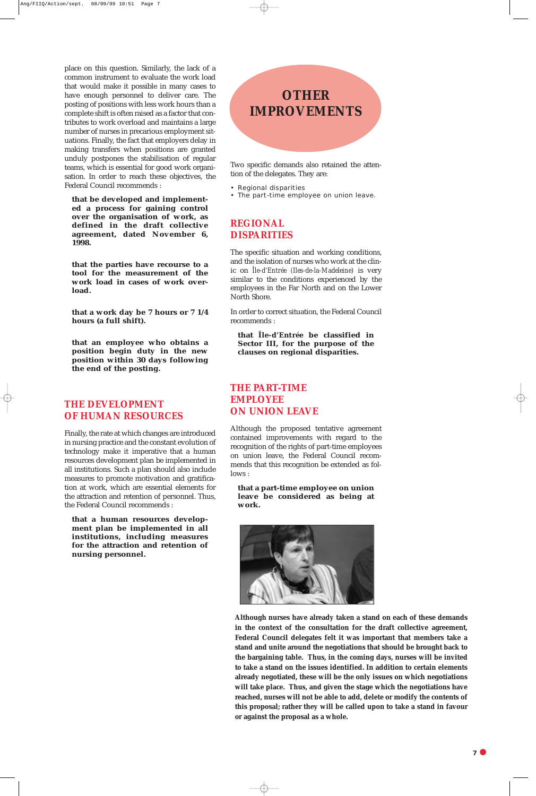place on this question. Similarly, the lack of a common instrument to evaluate the work load that would make it possible in many cases to have enough personnel to deliver care. The posting of positions with less work hours than a complete shift is often raised as a factor that contributes to work overload and maintains a large number of nurses in precarious employment situations. Finally, the fact that employers delay in making transfers when positions are granted unduly postpones the stabilisation of regular teams, which is essential for good work organisation. In order to reach these objectives, the Federal Council recommends :

**that be developed and implemented a process for gaining control over the organisation of work, as defined in the draft collective agreement, dated November 6, 1998.**

**that the parties have recourse to a tool for the measurement of the work load in cases of work overload.**

**that a work day be 7 hours or 7 1/4 hours (a full shift).**

**that an employee who obtains a position begin duty in the new position within 30 days following the end of the posting.**

#### **THE DEVELOPMENT OF HUMAN RESOURCES**

Finally, the rate at which changes are introduced in nursing practice and the constant evolution of technology make it imperative that a human resources development plan be implemented in all institutions. Such a plan should also include measures to promote motivation and gratification at work, which are essential elements for the attraction and retention of personnel. Thus, the Federal Council recommends :

**that a human resources development plan be implemented in all institutions, including measures for the attraction and retention of nursing personnel.**

## **OTHER IMPROVEMENTS**

Two specific demands also retained the attention of the delegates. They are:

- Regional disparities
- The part-time employee on union leave.

#### **REGIONAL DISPARITIES**

The specific situation and working conditions, and the isolation of nurses who work at the clinic on *Île-d'Entrée (Iles-de-la-Madeleine)* is very similar to the conditions experienced by the employees in the Far North and on the Lower North Shore.

In order to correct situation, the Federal Council recommends :

**that** *Île-d'Entrée* **be classified in Sector III, for the purpose of the clauses on regional disparities.**

#### **THE PART-TIME EMPLOYEE ON UNION LEAVE**

Although the proposed tentative agreement contained improvements with regard to the recognition of the rights of part-time employees on union leave, the Federal Council recommends that this recognition be extended as follows :

**that a part-time employee on union leave be considered as being at work.**





**Although nurses have already taken a stand on each of these demands in the context of the consultation for the draft collective agreement, Federal Council delegates felt it was important that members take a stand and unite around the negotiations that should be brought back to the bargaining table. Thus, in the coming days, nurses will be invited to take a stand on the issues identified. In addition to certain elements already negotiated, these will be the only issues on which negotiations will take place. Thus, and given the stage which the negotiations have reached, nurses will not be able to add, delete or modify the contents of this proposal; rather they will be called upon to take a stand in favour or against the proposal as a whole.**